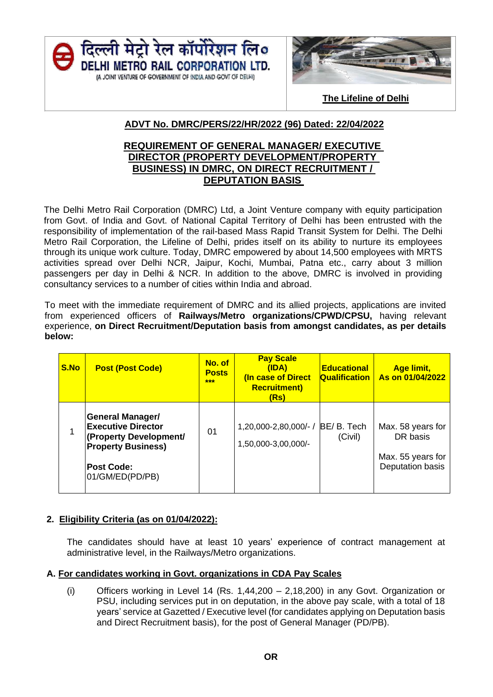



 **The Lifeline of Delhi**

# **ADVT No. DMRC/PERS/22/HR/2022 (96) Dated: 22/04/2022**

## **REQUIREMENT OF GENERAL MANAGER/ EXECUTIVE DIRECTOR (PROPERTY DEVELOPMENT/PROPERTY BUSINESS) IN DMRC, ON DIRECT RECRUITMENT / DEPUTATION BASIS**

The Delhi Metro Rail Corporation (DMRC) Ltd, a Joint Venture company with equity participation from Govt. of India and Govt. of National Capital Territory of Delhi has been entrusted with the responsibility of implementation of the rail-based Mass Rapid Transit System for Delhi. The Delhi Metro Rail Corporation, the Lifeline of Delhi, prides itself on its ability to nurture its employees through its unique work culture. Today, DMRC empowered by about 14,500 employees with MRTS activities spread over Delhi NCR, Jaipur, Kochi, Mumbai, Patna etc., carry about 3 million passengers per day in Delhi & NCR. In addition to the above, DMRC is involved in providing consultancy services to a number of cities within India and abroad.

To meet with the immediate requirement of DMRC and its allied projects, applications are invited from experienced officers of **Railways/Metro organizations/CPWD/CPSU,** having relevant experience, **on Direct Recruitment/Deputation basis from amongst candidates, as per details below:**

| <b>S.No</b> | <b>Post (Post Code)</b>                                                                                                                             | No. of<br><b>Posts</b><br>*** | <b>Pay Scale</b><br>(IDA)<br>(In case of Direct<br><b>Recruitment)</b><br>(Rs) | <b>Educational</b><br><b>Qualification</b> | <b>Age limit,</b><br>As on 01/04/2022                                  |
|-------------|-----------------------------------------------------------------------------------------------------------------------------------------------------|-------------------------------|--------------------------------------------------------------------------------|--------------------------------------------|------------------------------------------------------------------------|
| 1           | <b>General Manager/</b><br><b>Executive Director</b><br>(Property Development/<br><b>Property Business)</b><br><b>Post Code:</b><br>01/GM/ED(PD/PB) | 01                            | 1,20,000-2,80,000/- / BE/ B. Tech<br>1,50,000-3,00,000/-                       | (Civil)                                    | Max. 58 years for<br>DR basis<br>Max. 55 years for<br>Deputation basis |

# **2. Eligibility Criteria (as on 01/04/2022):**

The candidates should have at least 10 years' experience of contract management at administrative level, in the Railways/Metro organizations.

#### **A. For candidates working in Govt. organizations in CDA Pay Scales**

(i) Officers working in Level 14 (Rs. 1,44,200 – 2,18,200) in any Govt. Organization or PSU, including services put in on deputation, in the above pay scale, with a total of 18 years' service at Gazetted / Executive level (for candidates applying on Deputation basis and Direct Recruitment basis), for the post of General Manager (PD/PB).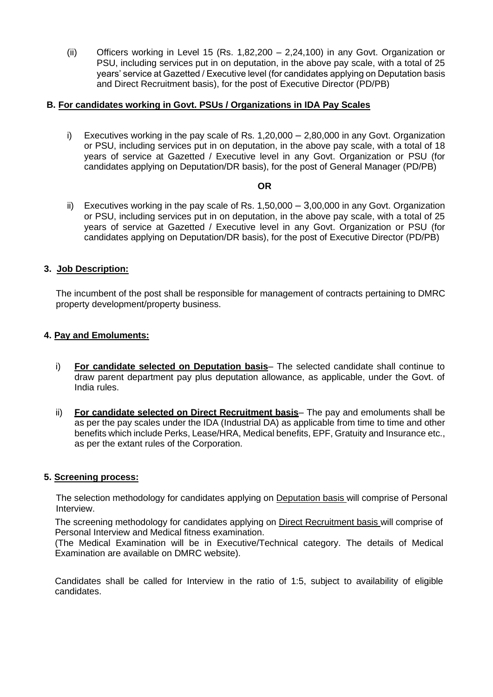(ii) Officers working in Level 15 (Rs. 1,82,200 – 2,24,100) in any Govt. Organization or PSU, including services put in on deputation, in the above pay scale, with a total of 25 years' service at Gazetted / Executive level (for candidates applying on Deputation basis and Direct Recruitment basis), for the post of Executive Director (PD/PB)

### **B. For candidates working in Govt. PSUs / Organizations in IDA Pay Scales**

i) Executives working in the pay scale of Rs. 1,20,000 – 2,80,000 in any Govt. Organization or PSU, including services put in on deputation, in the above pay scale, with a total of 18 years of service at Gazetted / Executive level in any Govt. Organization or PSU (for candidates applying on Deputation/DR basis), for the post of General Manager (PD/PB)

#### **OR**

ii) Executives working in the pay scale of Rs. 1,50,000 – 3,00,000 in any Govt. Organization or PSU, including services put in on deputation, in the above pay scale, with a total of 25 years of service at Gazetted / Executive level in any Govt. Organization or PSU (for candidates applying on Deputation/DR basis), for the post of Executive Director (PD/PB)

## **3. Job Description:**

The incumbent of the post shall be responsible for management of contracts pertaining to DMRC property development/property business.

#### **4. Pay and Emoluments:**

- i) **For candidate selected on Deputation basis** The selected candidate shall continue to draw parent department pay plus deputation allowance, as applicable, under the Govt. of India rules.
- ii) **For candidate selected on Direct Recruitment basis** The pay and emoluments shall be as per the pay scales under the IDA (Industrial DA) as applicable from time to time and other benefits which include Perks, Lease/HRA, Medical benefits, EPF, Gratuity and Insurance etc., as per the extant rules of the Corporation.

#### **5. Screening process:**

The selection methodology for candidates applying on Deputation basis will comprise of Personal Interview.

The screening methodology for candidates applying on Direct Recruitment basis will comprise of Personal Interview and Medical fitness examination.

(The Medical Examination will be in Executive/Technical category. The details of Medical Examination are available on DMRC website).

Candidates shall be called for Interview in the ratio of 1:5, subject to availability of eligible candidates.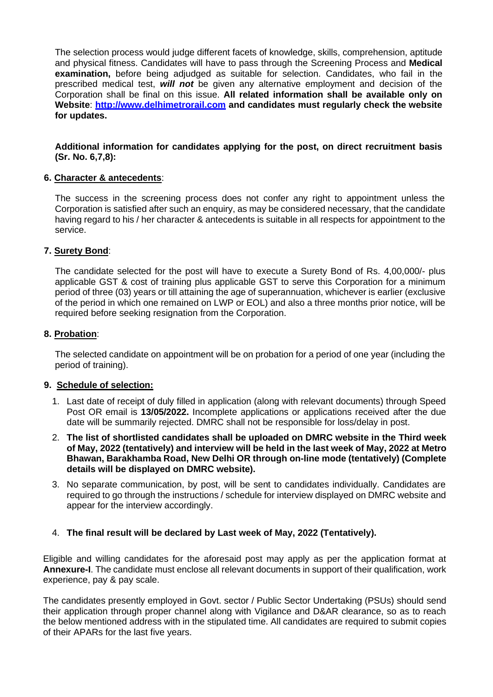The selection process would judge different facets of knowledge, skills, comprehension, aptitude and physical fitness. Candidates will have to pass through the Screening Process and **Medical examination,** before being adjudged as suitable for selection. Candidates, who fail in the prescribed medical test, *will not* be given any alternative employment and decision of the Corporation shall be final on this issue. **All related information shall be available only on Website**: **[http://www.delhimetrorail.com](http://www.delhimetrorail.com/) and candidates must regularly check the website for updates.**

#### **Additional information for candidates applying for the post, on direct recruitment basis (Sr. No. 6,7,8):**

## **6. Character & antecedents**:

The success in the screening process does not confer any right to appointment unless the Corporation is satisfied after such an enquiry, as may be considered necessary, that the candidate having regard to his / her character & antecedents is suitable in all respects for appointment to the service.

## **7. Surety Bond**:

The candidate selected for the post will have to execute a Surety Bond of Rs. 4,00,000/- plus applicable GST & cost of training plus applicable GST to serve this Corporation for a minimum period of three (03) years or till attaining the age of superannuation, whichever is earlier (exclusive of the period in which one remained on LWP or EOL) and also a three months prior notice, will be required before seeking resignation from the Corporation.

#### **8. Probation**:

The selected candidate on appointment will be on probation for a period of one year (including the period of training).

#### **9. Schedule of selection:**

- 1. Last date of receipt of duly filled in application (along with relevant documents) through Speed Post OR email is **13/05/2022.** Incomplete applications or applications received after the due date will be summarily rejected. DMRC shall not be responsible for loss/delay in post.
- 2. **The list of shortlisted candidates shall be uploaded on DMRC website in the Third week of May, 2022 (tentatively) and interview will be held in the last week of May, 2022 at Metro Bhawan, Barakhamba Road, New Delhi OR through on-line mode (tentatively) (Complete details will be displayed on DMRC website).**
- 3. No separate communication, by post, will be sent to candidates individually. Candidates are required to go through the instructions / schedule for interview displayed on DMRC website and appear for the interview accordingly.

# 4. **The final result will be declared by Last week of May, 2022 (Tentatively).**

Eligible and willing candidates for the aforesaid post may apply as per the application format at **Annexure-I**. The candidate must enclose all relevant documents in support of their qualification, work experience, pay & pay scale.

The candidates presently employed in Govt. sector / Public Sector Undertaking (PSUs) should send their application through proper channel along with Vigilance and D&AR clearance, so as to reach the below mentioned address with in the stipulated time. All candidates are required to submit copies of their APARs for the last five years.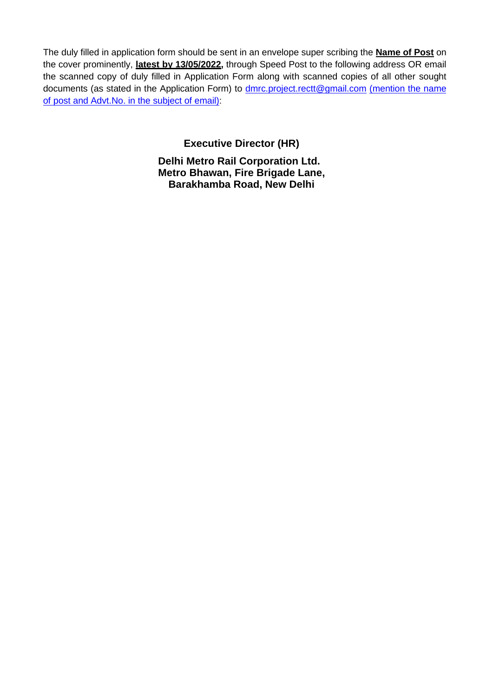The duly filled in application form should be sent in an envelope super scribing the **Name of Post** on the cover prominently, **latest by 13/05/2022,** through Speed Post to the following address OR email the scanned copy of duly filled in Application Form along with scanned copies of all other sought documents (as stated in the Application Form) to **dmrc.project.rectt@gmail.com** (mention the name of post and Advt.No. in the subject of email):

**Executive Director (HR)**

**Delhi Metro Rail Corporation Ltd. Metro Bhawan, Fire Brigade Lane, Barakhamba Road, New Delhi**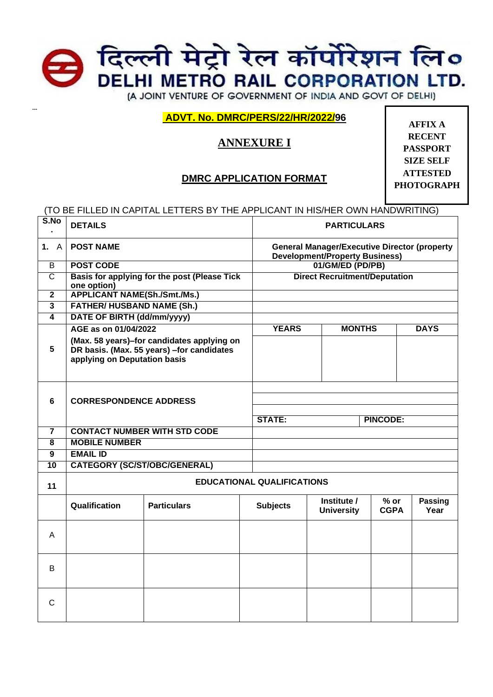

**ADVT. No. DMRC/PERS/22/HR/2022/96**

**---**

# **ANNEXURE I**

# **DMRC APPLICATION FORMAT**

**AFFIX A RECENT PASSPORT SIZE SELF ATTESTED PHOTOGRAPH**

(TO BE FILLED IN CAPITAL LETTERS BY THE APPLICANT IN HIS/HER OWN HANDWRITING)

| S.No                    | <b>DETAILS</b>                      |                                                                                          |                 | <b>PARTICULARS</b>                                                                           |                       |                        |  |
|-------------------------|-------------------------------------|------------------------------------------------------------------------------------------|-----------------|----------------------------------------------------------------------------------------------|-----------------------|------------------------|--|
| 1. A                    | <b>POST NAME</b>                    |                                                                                          |                 | <b>General Manager/Executive Director (property</b><br><b>Development/Property Business)</b> |                       |                        |  |
| $\overline{B}$          | <b>POST CODE</b>                    |                                                                                          |                 | 01/GM/ED (PD/PB)                                                                             |                       |                        |  |
| $\overline{C}$          | one option)                         | Basis for applying for the post (Please Tick                                             |                 | <b>Direct Recruitment/Deputation</b>                                                         |                       |                        |  |
| $\overline{\mathbf{2}}$ | <b>APPLICANT NAME(Sh./Smt./Ms.)</b> |                                                                                          |                 |                                                                                              |                       |                        |  |
| $\overline{\mathbf{3}}$ | <b>FATHER/ HUSBAND NAME (Sh.)</b>   |                                                                                          |                 |                                                                                              |                       |                        |  |
| $\overline{4}$          | DATE OF BIRTH (dd/mm/yyyy)          |                                                                                          |                 |                                                                                              |                       |                        |  |
|                         | AGE as on 01/04/2022                |                                                                                          |                 | <b>YEARS</b><br><b>MONTHS</b>                                                                |                       | <b>DAYS</b>            |  |
| 5                       | applying on Deputation basis        | (Max. 58 years)-for candidates applying on<br>DR basis. (Max. 55 years) - for candidates |                 |                                                                                              |                       |                        |  |
|                         |                                     |                                                                                          |                 |                                                                                              |                       |                        |  |
| 6                       | <b>CORRESPONDENCE ADDRESS</b>       |                                                                                          |                 |                                                                                              |                       |                        |  |
|                         |                                     |                                                                                          |                 |                                                                                              |                       |                        |  |
|                         |                                     |                                                                                          | <b>STATE:</b>   | <b>PINCODE:</b>                                                                              |                       |                        |  |
| 7                       | <b>CONTACT NUMBER WITH STD CODE</b> |                                                                                          |                 |                                                                                              |                       |                        |  |
| 8                       | <b>MOBILE NUMBER</b>                |                                                                                          |                 |                                                                                              |                       |                        |  |
| 9                       | <b>EMAIL ID</b>                     |                                                                                          |                 |                                                                                              |                       |                        |  |
| 10                      | <b>CATEGORY (SC/ST/OBC/GENERAL)</b> |                                                                                          |                 |                                                                                              |                       |                        |  |
| 11                      | <b>EDUCATIONAL QUALIFICATIONS</b>   |                                                                                          |                 |                                                                                              |                       |                        |  |
|                         | Qualification                       | <b>Particulars</b>                                                                       | <b>Subjects</b> | Institute /<br><b>University</b>                                                             | $%$ or<br><b>CGPA</b> | <b>Passing</b><br>Year |  |
| A                       |                                     |                                                                                          |                 |                                                                                              |                       |                        |  |
| B                       |                                     |                                                                                          |                 |                                                                                              |                       |                        |  |
| C                       |                                     |                                                                                          |                 |                                                                                              |                       |                        |  |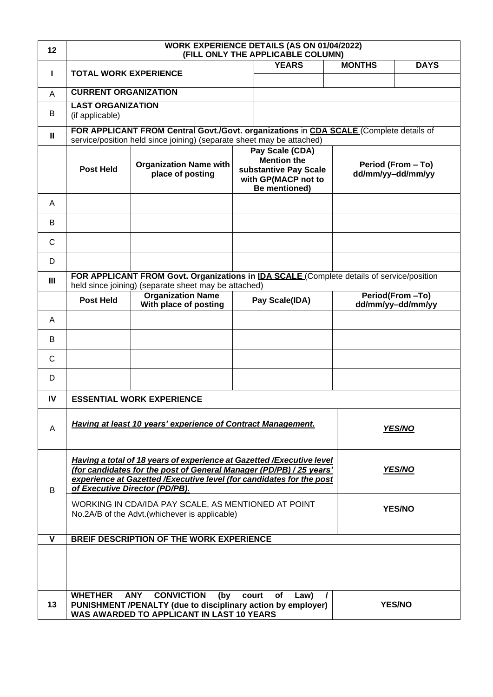| 12 | WORK EXPERIENCE DETAILS (AS ON 01/04/2022)<br>(FILL ONLY THE APPLICABLE COLUMN)                                                                                                                                                                                    |                                                                                                                                                             |       |                |                                         |                                      |  |
|----|--------------------------------------------------------------------------------------------------------------------------------------------------------------------------------------------------------------------------------------------------------------------|-------------------------------------------------------------------------------------------------------------------------------------------------------------|-------|----------------|-----------------------------------------|--------------------------------------|--|
| L  | <b>TOTAL WORK EXPERIENCE</b>                                                                                                                                                                                                                                       |                                                                                                                                                             |       | <b>YEARS</b>   | <b>MONTHS</b>                           | <b>DAYS</b>                          |  |
| A  | <b>CURRENT ORGANIZATION</b>                                                                                                                                                                                                                                        |                                                                                                                                                             |       |                |                                         |                                      |  |
|    | <b>LAST ORGANIZATION</b>                                                                                                                                                                                                                                           |                                                                                                                                                             |       |                |                                         |                                      |  |
| B  | (if applicable)<br>FOR APPLICANT FROM Central Govt./Govt. organizations in CDA SCALE (Complete details of                                                                                                                                                          |                                                                                                                                                             |       |                |                                         |                                      |  |
| Ш  |                                                                                                                                                                                                                                                                    | service/position held since joining) (separate sheet may be attached)                                                                                       |       |                |                                         |                                      |  |
|    | <b>Post Held</b>                                                                                                                                                                                                                                                   | Pay Scale (CDA)<br><b>Mention the</b><br><b>Organization Name with</b><br>substantive Pay Scale<br>place of posting<br>with GP(MACP not to<br>Be mentioned) |       |                | Period (From - To)<br>dd/mm/yy-dd/mm/yy |                                      |  |
| A  |                                                                                                                                                                                                                                                                    |                                                                                                                                                             |       |                |                                         |                                      |  |
| B  |                                                                                                                                                                                                                                                                    |                                                                                                                                                             |       |                |                                         |                                      |  |
| C  |                                                                                                                                                                                                                                                                    |                                                                                                                                                             |       |                |                                         |                                      |  |
| D  |                                                                                                                                                                                                                                                                    |                                                                                                                                                             |       |                |                                         |                                      |  |
| Ш  |                                                                                                                                                                                                                                                                    | FOR APPLICANT FROM Govt. Organizations in IDA SCALE (Complete details of service/position<br>held since joining) (separate sheet may be attached)           |       |                |                                         |                                      |  |
|    | <b>Post Held</b>                                                                                                                                                                                                                                                   | <b>Organization Name</b><br>With place of posting                                                                                                           |       | Pay Scale(IDA) |                                         | Period(From-To)<br>dd/mm/yy-dd/mm/yy |  |
| A  |                                                                                                                                                                                                                                                                    |                                                                                                                                                             |       |                |                                         |                                      |  |
| В  |                                                                                                                                                                                                                                                                    |                                                                                                                                                             |       |                |                                         |                                      |  |
| C  |                                                                                                                                                                                                                                                                    |                                                                                                                                                             |       |                |                                         |                                      |  |
| D  |                                                                                                                                                                                                                                                                    |                                                                                                                                                             |       |                |                                         |                                      |  |
| IV |                                                                                                                                                                                                                                                                    | <b>ESSENTIAL WORK EXPERIENCE</b>                                                                                                                            |       |                |                                         |                                      |  |
| A  | Having at least 10 years' experience of Contract Management.<br><b>YES/NO</b>                                                                                                                                                                                      |                                                                                                                                                             |       |                |                                         |                                      |  |
| B  | Having a total of 18 years of experience at Gazetted / Executive level<br>(for candidates for the post of General Manager (PD/PB) / 25 years'<br>YES/NO<br>experience at Gazetted / Executive level (for candidates for the post<br>of Executive Director (PD/PB). |                                                                                                                                                             |       |                |                                         |                                      |  |
|    | WORKING IN CDA/IDA PAY SCALE, AS MENTIONED AT POINT<br>No.2A/B of the Advt.(whichever is applicable)                                                                                                                                                               |                                                                                                                                                             |       |                |                                         | <b>YES/NO</b>                        |  |
| v  | <b>BREIF DESCRIPTION OF THE WORK EXPERIENCE</b>                                                                                                                                                                                                                    |                                                                                                                                                             |       |                |                                         |                                      |  |
|    |                                                                                                                                                                                                                                                                    |                                                                                                                                                             |       |                |                                         |                                      |  |
| 13 | <b>WHETHER</b>                                                                                                                                                                                                                                                     | <b>ANY</b><br><b>CONVICTION</b><br>(by<br>PUNISHMENT /PENALTY (due to disciplinary action by employer)<br>WAS AWARDED TO APPLICANT IN LAST 10 YEARS         | court | of<br>Law)     |                                         | <b>YES/NO</b>                        |  |